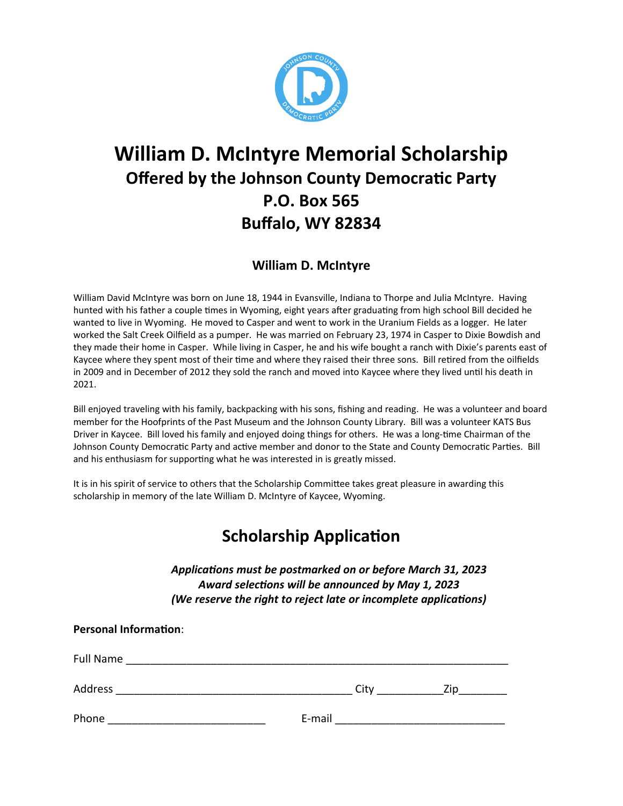

# **William D. McIntyre Memorial Scholarship Offered by the Johnson County Democratic Party P.O. Box 565 Buffalo, WY 82834**

### **William D. McIntyre**

William David McIntyre was born on June 18, 1944 in Evansville, Indiana to Thorpe and Julia McIntyre. Having hunted with his father a couple times in Wyoming, eight years after graduating from high school Bill decided he wanted to live in Wyoming. He moved to Casper and went to work in the Uranium Fields as a logger. He later worked the Salt Creek Oilfield as a pumper. He was married on February 23, 1974 in Casper to Dixie Bowdish and they made their home in Casper. While living in Casper, he and his wife bought a ranch with Dixie's parents east of Kaycee where they spent most of their time and where they raised their three sons. Bill retired from the oilfields in 2009 and in December of 2012 they sold the ranch and moved into Kaycee where they lived until his death in 2021.

Bill enjoyed traveling with his family, backpacking with his sons, fishing and reading. He was a volunteer and board member for the Hoofprints of the Past Museum and the Johnson County Library. Bill was a volunteer KATS Bus Driver in Kaycee. Bill loved his family and enjoyed doing things for others. He was a long-time Chairman of the Johnson County Democratic Party and active member and donor to the State and County Democratic Parties. Bill and his enthusiasm for supporting what he was interested in is greatly missed.

It is in his spirit of service to others that the Scholarship Committee takes great pleasure in awarding this scholarship in memory of the late William D. McIntyre of Kaycee, Wyoming.

## **Scholarship Application**

Applications must be postmarked on or before March 31, 2023 Award selections will be announced by May 1, 2023 *(We reserve the right to reject late or incomplete applications)* 

| <b>Personal Information:</b> |        |      |     |  |
|------------------------------|--------|------|-----|--|
| Full Name                    |        |      |     |  |
| Address                      |        | City | Zip |  |
| Phone                        | E-mail |      |     |  |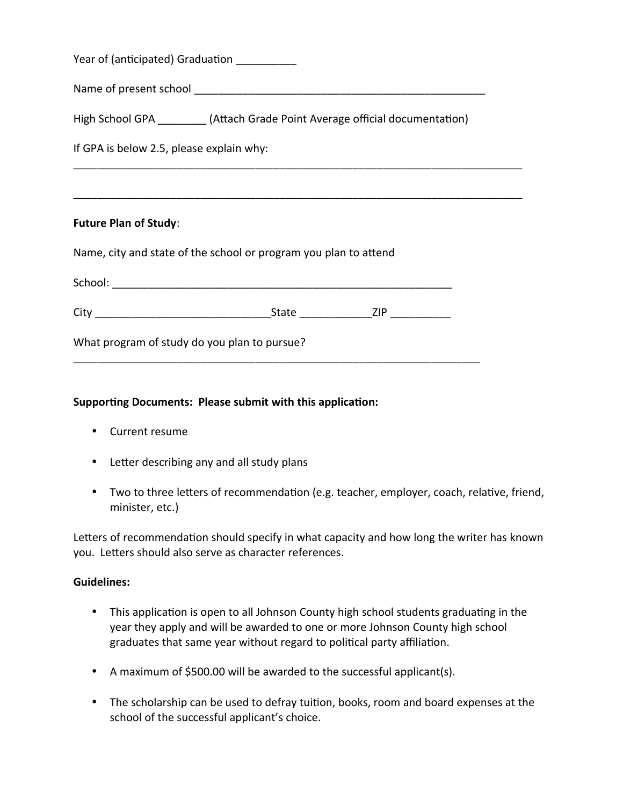| Euture Dian of Study:                                                         |
|-------------------------------------------------------------------------------|
|                                                                               |
| If GPA is below 2.5, please explain why:                                      |
| High School GPA __________(Attach Grade Point Average official documentation) |
| Name of present school                                                        |
| Year of (anticipated) Graduation                                              |

#### **Future Plan of Study**:

Name, city and state of the school or program you plan to attend

| School: |       |      |
|---------|-------|------|
|         |       |      |
| City    | State | 71 P |

\_\_\_\_\_\_\_\_\_\_\_\_\_\_\_\_\_\_\_\_\_\_\_\_\_\_\_\_\_\_\_\_\_\_\_\_\_\_\_\_\_\_\_\_\_\_\_\_\_\_\_\_\_\_\_\_\_\_\_\_\_\_\_\_\_\_\_

What program of study do you plan to pursue?

#### **Supporting Documents: Please submit with this application:**

- Current resume
- Letter describing any and all study plans
- Two to three letters of recommendation (e.g. teacher, employer, coach, relative, friend, minister, etc.)

Letters of recommendation should specify in what capacity and how long the writer has known you. Letters should also serve as character references.

#### **Guidelines:**

- This application is open to all Johnson County high school students graduating in the year they apply and will be awarded to one or more Johnson County high school graduates that same year without regard to political party affiliation.
- A maximum of \$500.00 will be awarded to the successful applicant(s).
- The scholarship can be used to defray tuition, books, room and board expenses at the school of the successful applicant's choice.